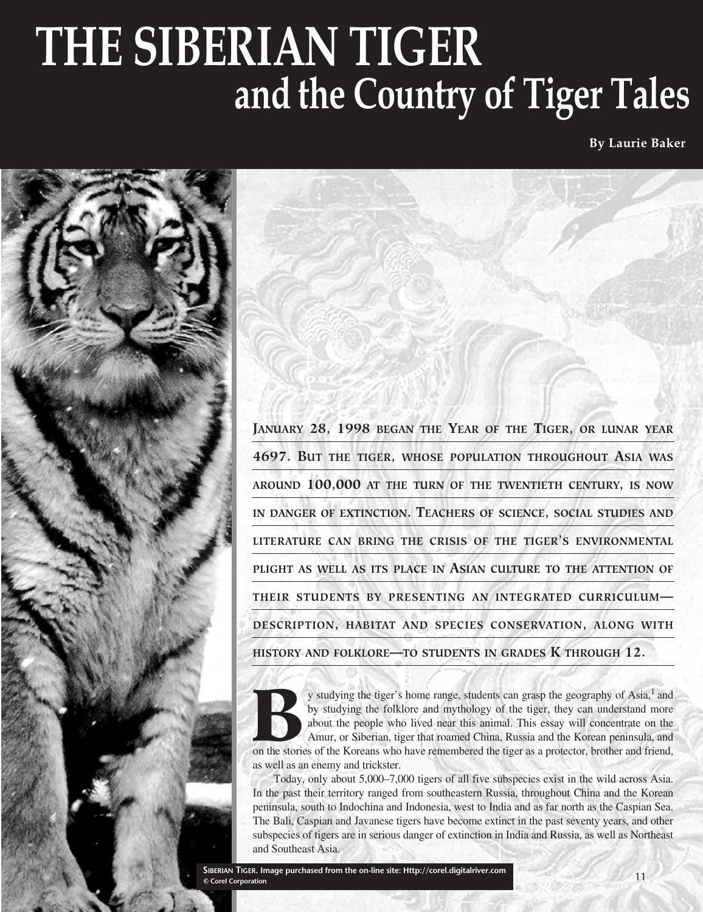# **THE SIBERIAN TIGER and the Country of Tiger Tales**

**By Laurie Baker**



**JANUARY 28, 1998 BEGAN THE YEAR OF THE TIGER, OR LUNAR YEAR 4697. BUT THE TIGER, WHOSE POPULATION THROUGHOUT ASIA WAS AROUND 100,000 AT THE TURN OF THE TWENTIETH CENTURY, IS NOW IN DANGER OF EXTINCTION. TEACHERS OF SCIENCE, SOCIAL STUDIES AND LITERATURE CAN BRING THE CRISIS OF THE TIGER'S ENVIRONMENTAL PLIGHT AS WELL AS ITS PLACE IN ASIAN CULTURE TO THE ATTENTION OF THEIR STUDENTS BY PRESENTING AN INTEGRATED CURRICULUM— DESCRIPTION, HABITAT AND SPECIES CONSERVATION, ALONG WITH HISTORY AND FOLKLORE—TO STUDENTS IN GRADES K THROUGH 12.**

y studying the tiger's home range, students can grasp the geography of Asia,<sup>1</sup> and<br>by studying the folklore and mythology of the tiger, they can understand more<br>about the people who lived near this animal. This essay will by studying the folklore and mythology of the tiger, they can understand more about the people who lived near this animal. This essay will concentrate on the Amur, or Siberian, tiger that roamed China, Russia and the Korean peninsula, and as well as an enemy and trickster.

Today, only about 5,000–7,000 tigers of all five subspecies exist in the wild across Asia. In the past their territory ranged from southeastern Russia, throughout China and the Korean peninsula, south to Indochina and Indonesia, west to India and as far north as the Caspian Sea. The Bali, Caspian and Javanese tigers have become extinct in the past seventy years, and other subspecies of tigers are in serious danger of extinction in India and Russia, as well as Northeast and Southeast Asia.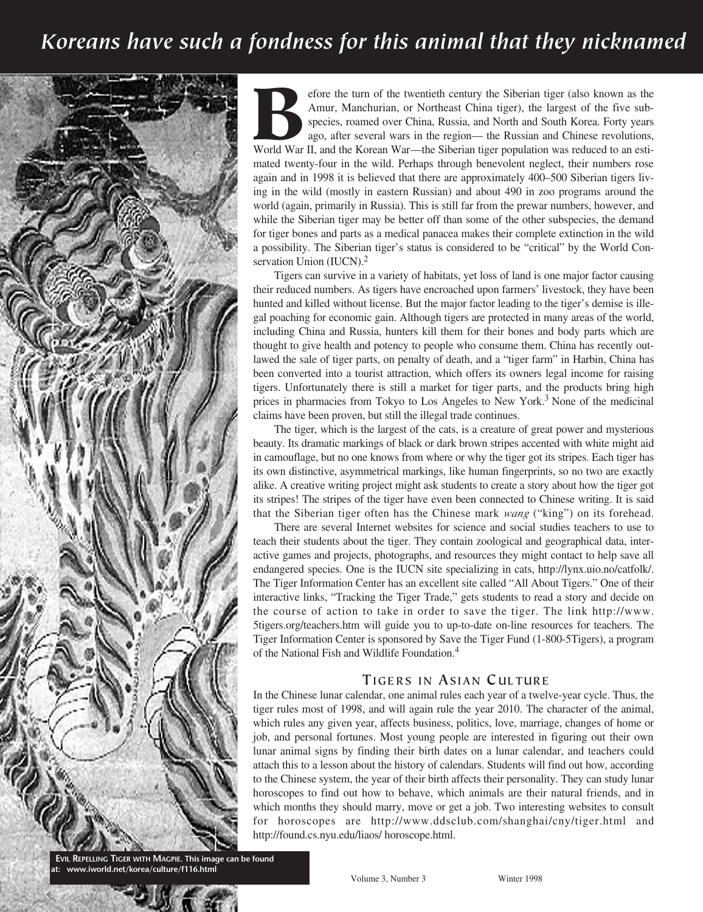## *Koreans have such a fondness for this animal that they nicknamed*



Fore the turn of the twentieth century the Siberian tiger (also known as the Amur, Manchurian, or Northeast China tiger), the largest of the five subspecies, roamed over China, Russia, and North and South Korea. Forty year Amur, Manchurian, or Northeast China tiger), the largest of the five subspecies, roamed over China, Russia, and North and South Korea. Forty years ago, after several wars in the region— the Russian and Chinese revolutions, mated twenty-four in the wild. Perhaps through benevolent neglect, their numbers rose again and in 1998 it is believed that there are approximately 400–500 Siberian tigers living in the wild (mostly in eastern Russian) and about 490 in zoo programs around the world (again, primarily in Russia). This is still far from the prewar numbers, however, and while the Siberian tiger may be better off than some of the other subspecies, the demand for tiger bones and parts as a medical panacea makes their complete extinction in the wild a possibility. The Siberian tiger's status is considered to be "critical" by the World Conservation Union (IUCN).<sup>2</sup>

Tigers can survive in a variety of habitats, yet loss of land is one major factor causing their reduced numbers. As tigers have encroached upon farmers' livestock, they have been hunted and killed without license. But the major factor leading to the tiger's demise is illegal poaching for economic gain. Although tigers are protected in many areas of the world, including China and Russia, hunters kill them for their bones and body parts which are thought to give health and potency to people who consume them. China has recently outlawed the sale of tiger parts, on penalty of death, and a "tiger farm" in Harbin, China has been converted into a tourist attraction, which offers its owners legal income for raising tigers. Unfortunately there is still a market for tiger parts, and the products bring high prices in pharmacies from Tokyo to Los Angeles to New York.<sup>3</sup> None of the medicinal claims have been proven, but still the illegal trade continues.

The tiger, which is the largest of the cats, is a creature of great power and mysterious beauty. Its dramatic markings of black or dark brown stripes accented with white might aid in camouflage, but no one knows from where or why the tiger got its stripes. Each tiger has its own distinctive, asymmetrical markings, like human fingerprints, so no two are exactly alike. A creative writing project might ask students to create a story about how the tiger got its stripes! The stripes of the tiger have even been connected to Chinese writing. It is said that the Siberian tiger often has the Chinese mark *wang* ("king") on its forehead.

There are several Internet websites for science and social studies teachers to use to teach their students about the tiger. They contain zoological and geographical data, interactive games and projects, photographs, and resources they might contact to help save all endangered species. One is the IUCN site specializing in cats, http://lynx.uio.no/catfolk/. The Tiger Information Center has an excellent site called "All About Tigers." One of their interactive links, "Tracking the Tiger Trade," gets students to read a story and decide on the course of action to take in order to save the tiger. The link http://www. 5tigers.org/teachers.htm will guide you to up-to-date on-line resources for teachers. The Tiger Information Center is sponsored by Save the Tiger Fund (1-800-5Tigers), a program of the National Fish and Wildlife Foundation.4

#### **TIGERS IN ASIAN CULTURE**

In the Chinese lunar calendar, one animal rules each year of a twelve-year cycle. Thus, the tiger rules most of 1998, and will again rule the year 2010. The character of the animal, which rules any given year, affects business, politics, love, marriage, changes of home or job, and personal fortunes. Most young people are interested in figuring out their own lunar animal signs by finding their birth dates on a lunar calendar, and teachers could attach this to a lesson about the history of calendars. Students will find out how, according to the Chinese system, the year of their birth affects their personality. They can study lunar horoscopes to find out how to behave, which animals are their natural friends, and in which months they should marry, move or get a job. Two interesting websites to consult for horoscopes are http://www.ddsclub.com/shanghai/cny/tiger.html and http://found.cs.nyu.edu/liaos/ horoscope.html.

**EVIL REPELLING TIGER WITH MAGPIE. This image can be found at: www.iworld.net/korea/culture/f116.html**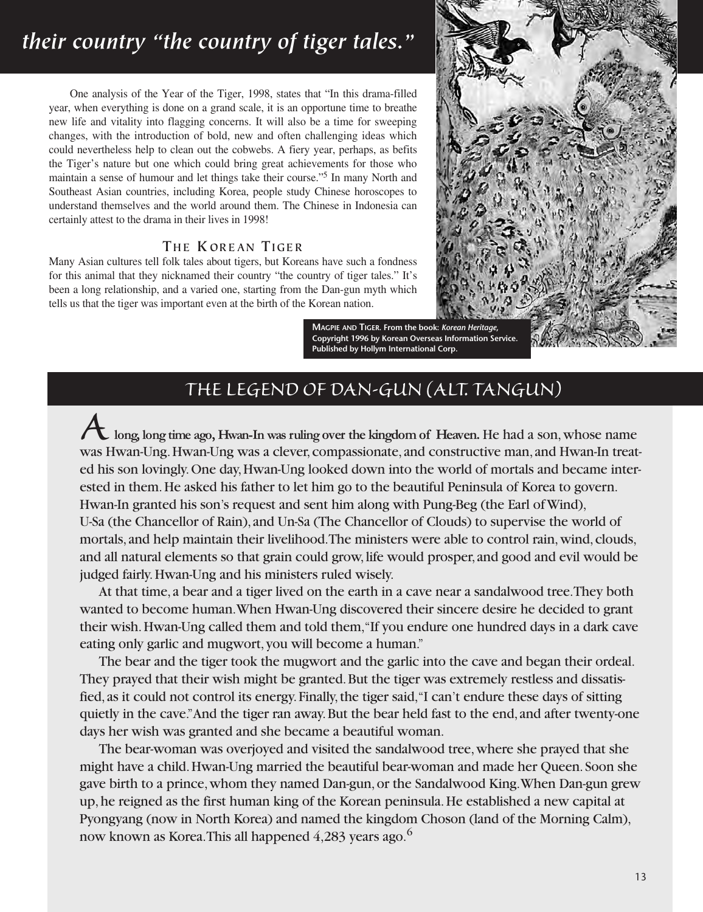# *their country "the country of tiger tales."*

One analysis of the Year of the Tiger, 1998, states that "In this drama-filled year, when everything is done on a grand scale, it is an opportune time to breathe new life and vitality into flagging concerns. It will also be a time for sweeping changes, with the introduction of bold, new and often challenging ideas which could nevertheless help to clean out the cobwebs. A fiery year, perhaps, as befits the Tiger's nature but one which could bring great achievements for those who maintain a sense of humour and let things take their course."5 In many North and Southeast Asian countries, including Korea, people study Chinese horoscopes to understand themselves and the world around them. The Chinese in Indonesia can certainly attest to the drama in their lives in 1998!

#### **TH E K OR E AN TI GE R**

Many Asian cultures tell folk tales about tigers, but Koreans have such a fondness for this animal that they nicknamed their country "the country of tiger tales." It's been a long relationship, and a varied one, starting from the Dan-gun myth which tells us that the tiger was important even at the birth of the Korean nation.



**MAGPIE AND TIGER. From the book:** *Korean Heritage***, Copyright 1996 by Korean Overseas Information Service. Published by Hollym International Corp.**

### *THE LEGEND OF DAN-GUN (ALT. TANGUN)*

*A***long, long time ago, Hwan-In was ruling over the kingdom of Heaven.** He had a son, whose name was Hwan-Ung. Hwan-Ung was a clever, compassionate, and constructive man, and Hwan-In treated his son lovingly. One day, Hwan-Ung looked down into the world of mortals and became interested in them. He asked his father to let him go to the beautiful Peninsula of Korea to govern. Hwan-In granted his son's request and sent him along with Pung-Beg (the Earl of Wind), U-Sa (the Chancellor of Rain), and Un-Sa (The Chancellor of Clouds) to supervise the world of mortals, and help maintain their livelihood. The ministers were able to control rain, wind, clouds, and all natural elements so that grain could grow, life would prosper, and good and evil would be judged fairly. Hwan-Ung and his ministers ruled wisely.

At that time, a bear and a tiger lived on the earth in a cave near a sandalwood tree. They both wanted to become human. When Hwan-Ung discovered their sincere desire he decided to grant their wish. Hwan-Ung called them and told them, "If you endure one hundred days in a dark cave eating only garlic and mugwort, you will become a human."

The bear and the tiger took the mugwort and the garlic into the cave and began their ordeal. They prayed that their wish might be granted. But the tiger was extremely restless and dissatisfied, as it could not control its energy. Finally, the tiger said, "I can't endure these days of sitting quietly in the cave." And the tiger ran away. But the bear held fast to the end, and after twenty-one days her wish was granted and she became a beautiful woman.

The bear-woman was overjoyed and visited the sandalwood tree, where she prayed that she might have a child. Hwan-Ung married the beautiful bear-woman and made her Queen. Soon she gave birth to a prince, whom they named Dan-gun, or the Sandalwood King. When Dan-gun grew up, he reigned as the first human king of the Korean peninsula. He established a new capital at Pyongyang (now in North Korea) and named the kingdom Choson (land of the Morning Calm), now known as Korea. This all happened 4,283 years ago.<sup>6</sup>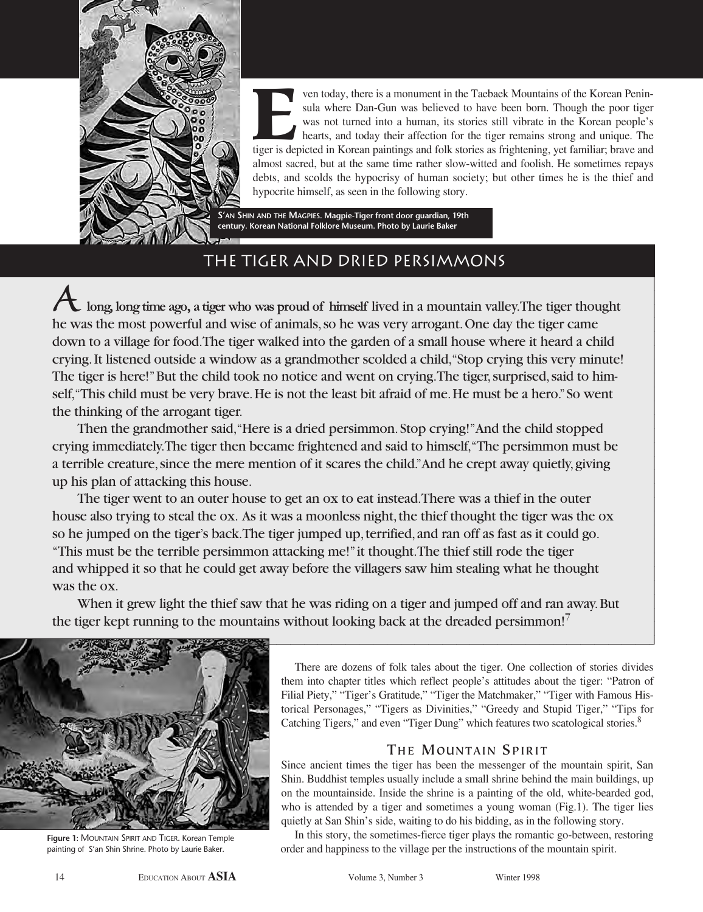

**EVEN IN THE VALUATE CONSERVANCE THE VALUATE OF THE SURFERN WAS not turned into a human, its stories still vibrate in the Korean people's hearts, and today their affection for the tiger remains strong and unique. The tiger** sula where Dan-Gun was believed to have been born. Though the poor tiger was not turned into a human, its stories still vibrate in the Korean people's hearts, and today their affection for the tiger remains strong and unique. The almost sacred, but at the same time rather slow-witted and foolish. He sometimes repays debts, and scolds the hypocrisy of human society; but other times he is the thief and hypocrite himself, as seen in the following story.

**S'AN SHIN AND THE MAGPIES. Magpie-Tiger front door guardian, 19th century. Korean National Folklore Museum. Photo by Laurie Baker**

### THE TIGER AND DRIED PERSIMMONS

*A***long, long time ago, a tiger who was proud of himself** lived in a mountain valley. The tiger thought he was the most powerful and wise of animals, so he was very arrogant. One day the tiger came down to a village for food. The tiger walked into the garden of a small house where it heard a child crying. It listened outside a window as a grandmother scolded a child, "Stop crying this very minute! The tiger is here!" But the child took no notice and went on crying. The tiger, surprised, said to himself, "This child must be very brave. He is not the least bit afraid of me. He must be a hero." So went the thinking of the arrogant tiger.

Then the grandmother said, "Here is a dried persimmon. Stop crying!" And the child stopped crying immediately. The tiger then became frightened and said to himself, "The persimmon must be a terrible creature, since the mere mention of it scares the child." And he crept away quietly, giving up his plan of attacking this house.

The tiger went to an outer house to get an ox to eat instead. There was a thief in the outer house also trying to steal the ox. As it was a moonless night, the thief thought the tiger was the ox so he jumped on the tiger's back. The tiger jumped up, terrified, and ran off as fast as it could go. "This must be the terrible persimmon attacking me!" it thought. The thief still rode the tiger and whipped it so that he could get away before the villagers saw him stealing what he thought was the ox.

When it grew light the thief saw that he was riding on a tiger and jumped off and ran away. But the tiger kept running to the mountains without looking back at the dreaded persimmon!<sup>7</sup>



**Figure 1**: MOUNTAIN SPIRIT AND TIGER. Korean Temple painting of S'an Shin Shrine. Photo by Laurie Baker.

There are dozens of folk tales about the tiger. One collection of stories divides them into chapter titles which reflect people's attitudes about the tiger: "Patron of Filial Piety," "Tiger's Gratitude," "Tiger the Matchmaker," "Tiger with Famous Historical Personages," "Tigers as Divinities," "Greedy and Stupid Tiger," "Tips for Catching Tigers," and even "Tiger Dung" which features two scatological stories.<sup>8</sup>

#### **THE MOUNTAIN SPIRIT**

Since ancient times the tiger has been the messenger of the mountain spirit, San Shin. Buddhist temples usually include a small shrine behind the main buildings, up on the mountainside. Inside the shrine is a painting of the old, white-bearded god, who is attended by a tiger and sometimes a young woman (Fig.1). The tiger lies quietly at San Shin's side, waiting to do his bidding, as in the following story.

In this story, the sometimes-fierce tiger plays the romantic go-between, restoring order and happiness to the village per the instructions of the mountain spirit.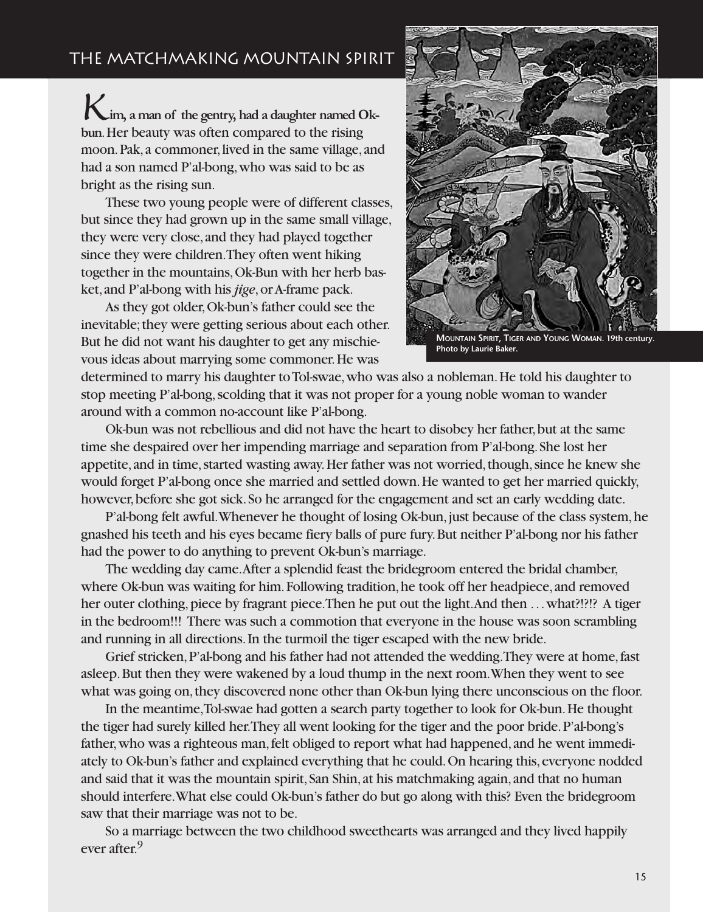## THE MATCHMAKING MOUNTAIN SPIRIT

*K***im, a man of the gentry, had a daughter named Okbun**. Her beauty was often compared to the rising moon. Pak, a commoner, lived in the same village, and had a son named P'al-bong, who was said to be as bright as the rising sun.

These two young people were of different classes, but since they had grown up in the same small village, they were very close, and they had played together since they were children. They often went hiking together in the mountains, Ok-Bun with her herb basket, and P'al-bong with his *jige*, or A-frame pack.

As they got older, Ok-bun's father could see the inevitable; they were getting serious about each other. But he did not want his daughter to get any mischievous ideas about marrying some commoner. He was



**MOUNTAIN SPIRIT, TIGER AND YOUNG WOMAN. 19th century. Photo by Laurie Baker.**

determined to marry his daughter to Tol-swae, who was also a nobleman. He told his daughter to stop meeting P'al-bong, scolding that it was not proper for a young noble woman to wander around with a common no-account like P'al-bong.

Ok-bun was not rebellious and did not have the heart to disobey her father, but at the same time she despaired over her impending marriage and separation from P'al-bong. She lost her appetite, and in time, started wasting away. Her father was not worried, though, since he knew she would forget P'al-bong once she married and settled down. He wanted to get her married quickly, however, before she got sick. So he arranged for the engagement and set an early wedding date.

P'al-bong felt awful. Whenever he thought of losing Ok-bun, just because of the class system, he gnashed his teeth and his eyes became fiery balls of pure fury. But neither P'al-bong nor his father had the power to do anything to prevent Ok-bun's marriage.

The wedding day came. After a splendid feast the bridegroom entered the bridal chamber, where Ok-bun was waiting for him. Following tradition, he took off her headpiece, and removed her outer clothing, piece by fragrant piece. Then he put out the light. And then ... what?!?!? A tiger in the bedroom!!! There was such a commotion that everyone in the house was soon scrambling and running in all directions. In the turmoil the tiger escaped with the new bride.

Grief stricken, P'al-bong and his father had not attended the wedding. They were at home, fast asleep. But then they were wakened by a loud thump in the next room. When they went to see what was going on, they discovered none other than Ok-bun lying there unconscious on the floor.

In the meantime, Tol-swae had gotten a search party together to look for Ok-bun. He thought the tiger had surely killed her. They all went looking for the tiger and the poor bride. P'al-bong's father, who was a righteous man, felt obliged to report what had happened, and he went immediately to Ok-bun's father and explained everything that he could. On hearing this, everyone nodded and said that it was the mountain spirit, San Shin, at his matchmaking again, and that no human should interfere. What else could Ok-bun's father do but go along with this? Even the bridegroom saw that their marriage was not to be.

So a marriage between the two childhood sweethearts was arranged and they lived happily ever after.<sup>9</sup>